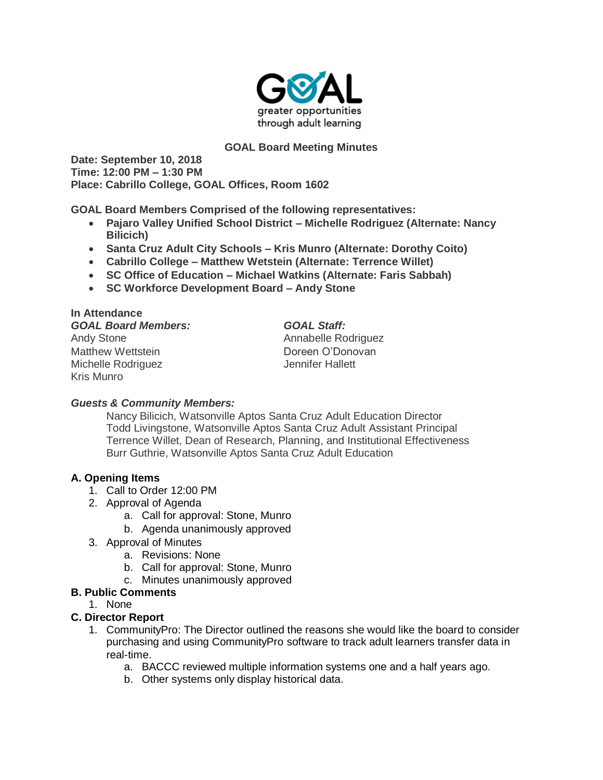

### **GOAL Board Meeting Minutes**

**Date: September 10, 2018 Time: 12:00 PM – 1:30 PM Place: Cabrillo College, GOAL Offices, Room 1602**

**GOAL Board Members Comprised of the following representatives:**

- **Pajaro Valley Unified School District – Michelle Rodriguez (Alternate: Nancy Bilicich)**
- **Santa Cruz Adult City Schools – Kris Munro (Alternate: Dorothy Coito)**
- **Cabrillo College – Matthew Wetstein (Alternate: Terrence Willet)**
- **SC Office of Education – Michael Watkins (Alternate: Faris Sabbah)**
- **SC Workforce Development Board – Andy Stone**

### **In Attendance**

#### *GOAL Board Members: GOAL Staff:*

Andy Stone **Annabelle Rodriguez Annabelle Rodriguez** Matthew Wettstein **Doreen O'Donovan** Michelle Rodriguez **Michelle Rodriguez** Jennifer Hallett Kris Munro

### *Guests & Community Members:*

Nancy Bilicich, Watsonville Aptos Santa Cruz Adult Education Director Todd Livingstone, Watsonville Aptos Santa Cruz Adult Assistant Principal Terrence Willet, Dean of Research, Planning, and Institutional Effectiveness Burr Guthrie, Watsonville Aptos Santa Cruz Adult Education

### **A. Opening Items**

- 1. Call to Order 12:00 PM
- 2. Approval of Agenda
	- a. Call for approval: Stone, Munro
	- b. Agenda unanimously approved
- 3. Approval of Minutes
	- a. Revisions: None
	- b. Call for approval: Stone, Munro
	- c. Minutes unanimously approved

### **B. Public Comments**

1. None

### **C. Director Report**

- 1. CommunityPro: The Director outlined the reasons she would like the board to consider purchasing and using CommunityPro software to track adult learners transfer data in real-time.
	- a. BACCC reviewed multiple information systems one and a half years ago.
	- b. Other systems only display historical data.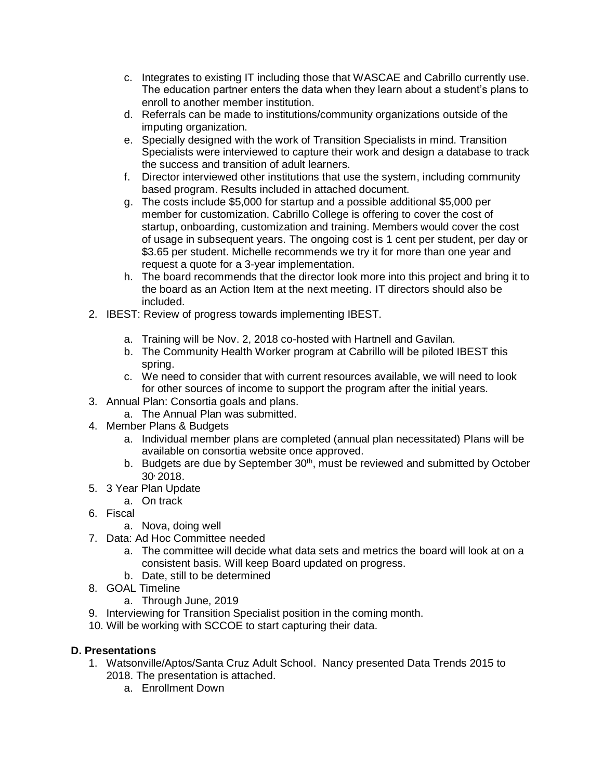- c. Integrates to existing IT including those that WASCAE and Cabrillo currently use. The education partner enters the data when they learn about a student's plans to enroll to another member institution.
- d. Referrals can be made to institutions/community organizations outside of the imputing organization.
- e. Specially designed with the work of Transition Specialists in mind. Transition Specialists were interviewed to capture their work and design a database to track the success and transition of adult learners.
- f. Director interviewed other institutions that use the system, including community based program. Results included in attached document.
- g. The costs include \$5,000 for startup and a possible additional \$5,000 per member for customization. Cabrillo College is offering to cover the cost of startup, onboarding, customization and training. Members would cover the cost of usage in subsequent years. The ongoing cost is 1 cent per student, per day or \$3.65 per student. Michelle recommends we try it for more than one year and request a quote for a 3-year implementation.
- h. The board recommends that the director look more into this project and bring it to the board as an Action Item at the next meeting. IT directors should also be included.
- 2. IBEST: Review of progress towards implementing IBEST.
	- a. Training will be Nov. 2, 2018 co-hosted with Hartnell and Gavilan.
	- b. The Community Health Worker program at Cabrillo will be piloted IBEST this spring.
	- c. We need to consider that with current resources available, we will need to look for other sources of income to support the program after the initial years.
- 3. Annual Plan: Consortia goals and plans.
	- a. The Annual Plan was submitted.
- 4. Member Plans & Budgets
	- a. Individual member plans are completed (annual plan necessitated) Plans will be available on consortia website once approved.
	- b. Budgets are due by September  $30<sup>th</sup>$ , must be reviewed and submitted by October 30, 2018.
- 5. 3 Year Plan Update
	- a. On track
- 6. Fiscal
	- a. Nova, doing well
- 7. Data: Ad Hoc Committee needed
	- a. The committee will decide what data sets and metrics the board will look at on a consistent basis. Will keep Board updated on progress.
	- b. Date, still to be determined
- 8. GOAL Timeline
	- a. Through June, 2019
- 9. Interviewing for Transition Specialist position in the coming month.
- 10. Will be working with SCCOE to start capturing their data.

### **D. Presentations**

- 1. Watsonville/Aptos/Santa Cruz Adult School. Nancy presented Data Trends 2015 to 2018. The presentation is attached.
	- a. Enrollment Down